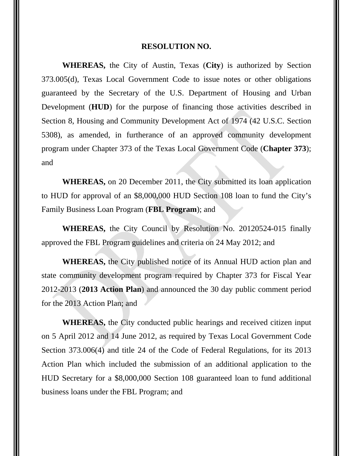## **RESOLUTION NO.**

**WHEREAS,** the City of Austin, Texas (**City**) is authorized by Section 373.005(d), Texas Local Government Code to issue notes or other obligations guaranteed by the Secretary of the U.S. Department of Housing and Urban Development (**HUD**) for the purpose of financing those activities described in Section 8, Housing and Community Development Act of 1974 (42 U.S.C. Section 5308), as amended, in furtherance of an approved community development program under Chapter 373 of the Texas Local Government Code (**Chapter 373**); and

**WHEREAS,** on 20 December 2011, the City submitted its loan application to HUD for approval of an \$8,000,000 HUD Section 108 loan to fund the City's Family Business Loan Program (**FBL Program**); and

**WHEREAS,** the City Council by Resolution No. 20120524-015 finally approved the FBL Program guidelines and criteria on 24 May 2012; and

**WHEREAS,** the City published notice of its Annual HUD action plan and state community development program required by Chapter 373 for Fiscal Year 2012-2013 (**2013 Action Plan**) and announced the 30 day public comment period for the 2013 Action Plan; and

**WHEREAS,** the City conducted public hearings and received citizen input on 5 April 2012 and 14 June 2012, as required by Texas Local Government Code Section 373.006(4) and title 24 of the Code of Federal Regulations, for its 2013 Action Plan which included the submission of an additional application to the HUD Secretary for a \$8,000,000 Section 108 guaranteed loan to fund additional business loans under the FBL Program; and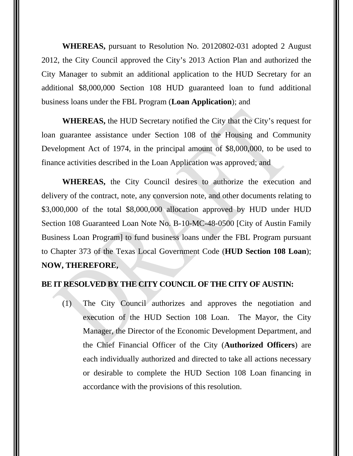**WHEREAS,** pursuant to Resolution No. 20120802-031 adopted 2 August 2012, the City Council approved the City's 2013 Action Plan and authorized the City Manager to submit an additional application to the HUD Secretary for an additional \$8,000,000 Section 108 HUD guaranteed loan to fund additional business loans under the FBL Program (**Loan Application**); and

**WHEREAS,** the HUD Secretary notified the City that the City's request for loan guarantee assistance under Section 108 of the Housing and Community Development Act of 1974, in the principal amount of \$8,000,000, to be used to finance activities described in the Loan Application was approved; and

**WHEREAS,** the City Council desires to authorize the execution and delivery of the contract, note, any conversion note, and other documents relating to \$3,000,000 of the total \$8,000,000 allocation approved by HUD under HUD Section 108 Guaranteed Loan Note No. B-10-MC-48-0500 [City of Austin Family Business Loan Program] to fund business loans under the FBL Program pursuant to Chapter 373 of the Texas Local Government Code (**HUD Section 108 Loan**); **NOW, THEREFORE,** 

## **BE IT RESOLVED BY THE CITY COUNCIL OF THE CITY OF AUSTIN:**

(1) The City Council authorizes and approves the negotiation and execution of the HUD Section 108 Loan. The Mayor, the City Manager, the Director of the Economic Development Department, and the Chief Financial Officer of the City (**Authorized Officers**) are each individually authorized and directed to take all actions necessary or desirable to complete the HUD Section 108 Loan financing in accordance with the provisions of this resolution.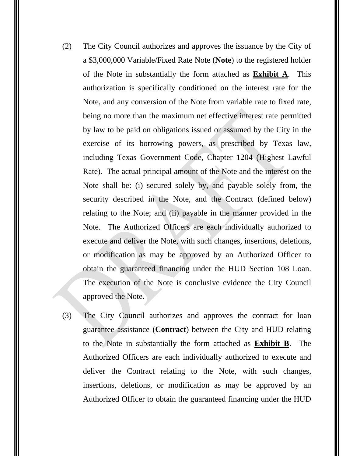- (2) The City Council authorizes and approves the issuance by the City of a \$3,000,000 Variable/Fixed Rate Note (**Note**) to the registered holder of the Note in substantially the form attached as **Exhibit A**. This authorization is specifically conditioned on the interest rate for the Note, and any conversion of the Note from variable rate to fixed rate, being no more than the maximum net effective interest rate permitted by law to be paid on obligations issued or assumed by the City in the exercise of its borrowing powers, as prescribed by Texas law, including Texas Government Code, Chapter 1204 (Highest Lawful Rate). The actual principal amount of the Note and the interest on the Note shall be: (i) secured solely by, and payable solely from, the security described in the Note, and the Contract (defined below) relating to the Note; and (ii) payable in the manner provided in the Note. The Authorized Officers are each individually authorized to execute and deliver the Note, with such changes, insertions, deletions, or modification as may be approved by an Authorized Officer to obtain the guaranteed financing under the HUD Section 108 Loan. The execution of the Note is conclusive evidence the City Council approved the Note.
- (3) The City Council authorizes and approves the contract for loan guarantee assistance (**Contract**) between the City and HUD relating to the Note in substantially the form attached as **Exhibit B**. The Authorized Officers are each individually authorized to execute and deliver the Contract relating to the Note, with such changes, insertions, deletions, or modification as may be approved by an Authorized Officer to obtain the guaranteed financing under the HUD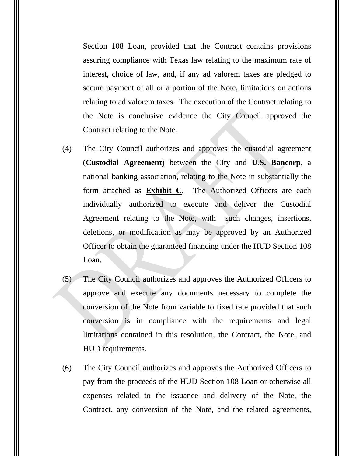Section 108 Loan, provided that the Contract contains provisions assuring compliance with Texas law relating to the maximum rate of interest, choice of law, and, if any ad valorem taxes are pledged to secure payment of all or a portion of the Note, limitations on actions relating to ad valorem taxes. The execution of the Contract relating to the Note is conclusive evidence the City Council approved the Contract relating to the Note.

- (4) The City Council authorizes and approves the custodial agreement (**Custodial Agreement**) between the City and **U.S. Bancorp**, a national banking association, relating to the Note in substantially the form attached as **Exhibit C**, The Authorized Officers are each individually authorized to execute and deliver the Custodial Agreement relating to the Note, with such changes, insertions, deletions, or modification as may be approved by an Authorized Officer to obtain the guaranteed financing under the HUD Section 108 Loan.
- (5) The City Council authorizes and approves the Authorized Officers to approve and execute any documents necessary to complete the conversion of the Note from variable to fixed rate provided that such conversion is in compliance with the requirements and legal limitations contained in this resolution, the Contract, the Note, and HUD requirements.
- (6) The City Council authorizes and approves the Authorized Officers to pay from the proceeds of the HUD Section 108 Loan or otherwise all expenses related to the issuance and delivery of the Note, the Contract, any conversion of the Note, and the related agreements,